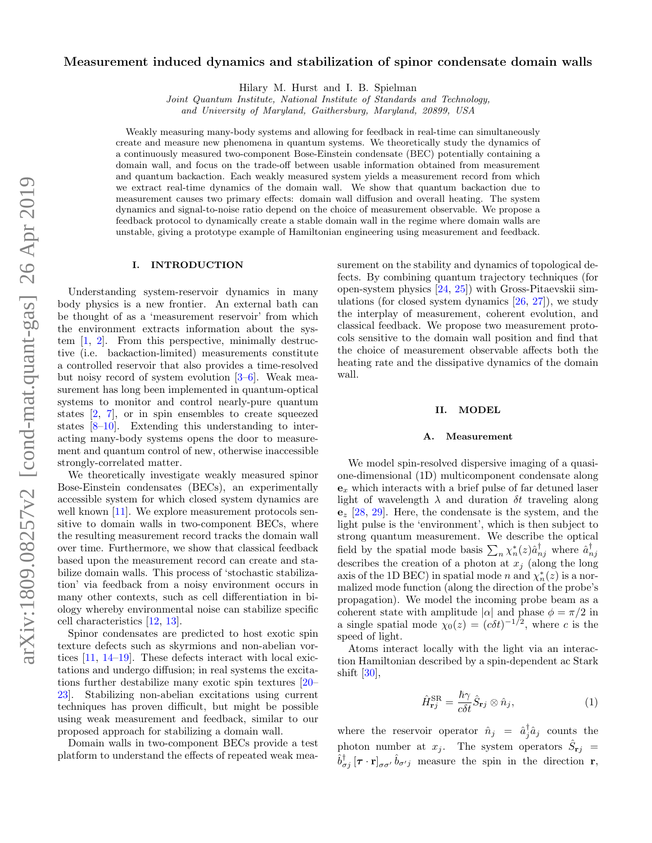# Measurement induced dynamics and stabilization of spinor condensate domain walls

Hilary M. Hurst and I. B. Spielman

Joint Quantum Institute, National Institute of Standards and Technology, and University of Maryland, Gaithersburg, Maryland, 20899, USA

Weakly measuring many-body systems and allowing for feedback in real-time can simultaneously create and measure new phenomena in quantum systems. We theoretically study the dynamics of a continuously measured two-component Bose-Einstein condensate (BEC) potentially containing a domain wall, and focus on the trade-off between usable information obtained from measurement and quantum backaction. Each weakly measured system yields a measurement record from which we extract real-time dynamics of the domain wall. We show that quantum backaction due to measurement causes two primary effects: domain wall diffusion and overall heating. The system dynamics and signal-to-noise ratio depend on the choice of measurement observable. We propose a feedback protocol to dynamically create a stable domain wall in the regime where domain walls are unstable, giving a prototype example of Hamiltonian engineering using measurement and feedback.

#### I. INTRODUCTION

Understanding system-reservoir dynamics in many body physics is a new frontier. An external bath can be thought of as a 'measurement reservoir' from which the environment extracts information about the system [\[1,](#page-4-0) [2\]](#page-4-1). From this perspective, minimally destructive (i.e. backaction-limited) measurements constitute a controlled reservoir that also provides a time-resolved but noisy record of system evolution [\[3–](#page-4-2)[6\]](#page-4-3). Weak measurement has long been implemented in quantum-optical systems to monitor and control nearly-pure quantum states [\[2,](#page-4-1) [7\]](#page-4-4), or in spin ensembles to create squeezed states [\[8–](#page-4-5)[10\]](#page-4-6). Extending this understanding to interacting many-body systems opens the door to measurement and quantum control of new, otherwise inaccessible strongly-correlated matter.

We theoretically investigate weakly measured spinor Bose-Einstein condensates (BECs), an experimentally accessible system for which closed system dynamics are well known [\[11\]](#page-4-7). We explore measurement protocols sensitive to domain walls in two-component BECs, where the resulting measurement record tracks the domain wall over time. Furthermore, we show that classical feedback based upon the measurement record can create and stabilize domain walls. This process of 'stochastic stabilization' via feedback from a noisy environment occurs in many other contexts, such as cell differentiation in biology whereby environmental noise can stabilize specific cell characteristics [\[12,](#page-4-8) [13\]](#page-4-9).

Spinor condensates are predicted to host exotic spin texture defects such as skyrmions and non-abelian vortices [\[11,](#page-4-7) [14](#page-4-10)[–19\]](#page-4-11). These defects interact with local exictations and undergo diffusion; in real systems the excitations further destabilize many exotic spin textures [\[20–](#page-4-12) [23\]](#page-4-13). Stabilizing non-abelian excitations using current techniques has proven difficult, but might be possible using weak measurement and feedback, similar to our proposed approach for stabilizing a domain wall.

Domain walls in two-component BECs provide a test platform to understand the effects of repeated weak measurement on the stability and dynamics of topological defects. By combining quantum trajectory techniques (for open-system physics [\[24,](#page-4-14) [25\]](#page-4-15)) with Gross-Pitaevskii simulations (for closed system dynamics  $[26, 27]$  $[26, 27]$  $[26, 27]$ ), we study the interplay of measurement, coherent evolution, and classical feedback. We propose two measurement protocols sensitive to the domain wall position and find that the choice of measurement observable affects both the heating rate and the dissipative dynamics of the domain wall.

#### II. MODEL

#### A. Measurement

We model spin-resolved dispersive imaging of a quasione-dimensional (1D) multicomponent condensate along  $\mathbf{e}_x$  which interacts with a brief pulse of far detuned laser light of wavelength  $\lambda$  and duration  $\delta t$  traveling along  $\mathbf{e}_z$  [\[28,](#page-4-18) [29\]](#page-4-19). Here, the condensate is the system, and the light pulse is the 'environment', which is then subject to strong quantum measurement. We describe the optical field by the spatial mode basis  $\sum_n \chi_n^*(z) \hat{a}_{nj}^{\dagger}$  where  $\hat{a}_{nj}^{\dagger}$ describes the creation of a photon at  $x_j$  (along the long axis of the 1D BEC) in spatial mode n and  $\chi_n^*(z)$  is a normalized mode function (along the direction of the probe's propagation). We model the incoming probe beam as a coherent state with amplitude  $|\alpha|$  and phase  $\phi = \pi/2$  in a single spatial mode  $\chi_0(z) = (c \delta t)^{-1/2}$ , where c is the speed of light.

Atoms interact locally with the light via an interaction Hamiltonian described by a spin-dependent ac Stark shift [\[30\]](#page-4-20),

$$
\hat{H}_{\mathbf{r}j}^{\text{SR}} = \frac{\hbar \gamma}{c \delta t} \hat{S}_{\mathbf{r}j} \otimes \hat{n}_j,\tag{1}
$$

where the reservoir operator  $\hat{n}_j = \hat{a}_j^{\dagger} \hat{a}_j$  counts the photon number at  $x_j$ . The system operators  $\hat{S}_{rj}$  =  $\hat{b}^{\dagger}_{\sigma j} [\tau \cdot \mathbf{r}]_{\sigma \sigma}$ ,  $\hat{b}_{\sigma' j}$  measure the spin in the direction r,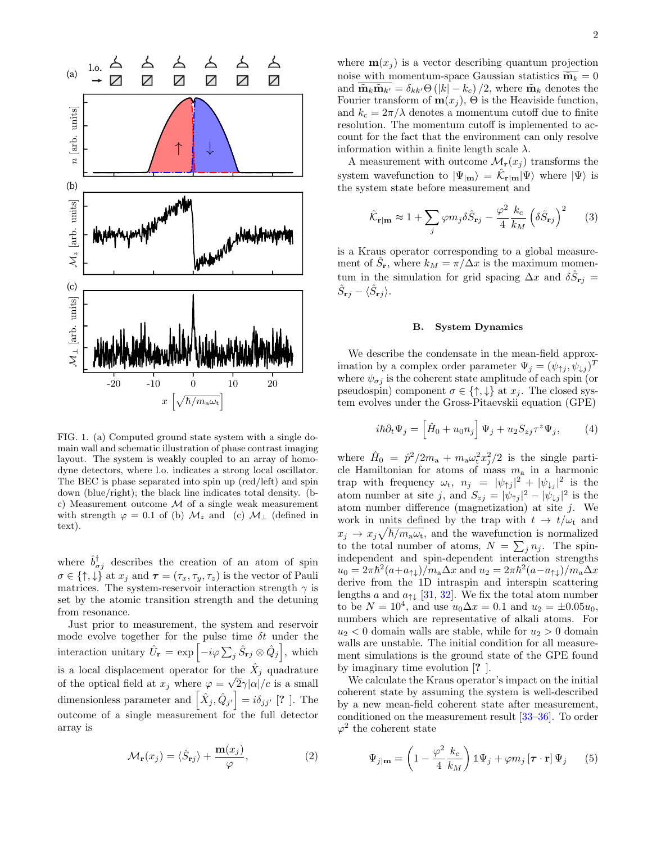

<span id="page-1-2"></span>FIG. 1. (a) Computed ground state system with a single domain wall and schematic illustration of phase contrast imaging layout. The system is weakly coupled to an array of homodyne detectors, where l.o. indicates a strong local oscillator. The BEC is phase separated into spin up (red/left) and spin down (blue/right); the black line indicates total density. (bc) Measurement outcome  $M$  of a single weak measurement with strength  $\varphi = 0.1$  of (b)  $\mathcal{M}_z$  and (c)  $\mathcal{M}_\perp$  (defined in text).

where  $\hat{b}^{\dagger}_{\sigma j}$  describes the creation of an atom of spin  $\sigma \in \{\uparrow,\downarrow\}$  at  $x_j$  and  $\boldsymbol{\tau} = (\tau_x, \tau_y, \tau_z)$  is the vector of Pauli matrices. The system-reservoir interaction strength  $\gamma$  is set by the atomic transition strength and the detuning from resonance.

Just prior to measurement, the system and reservoir mode evolve together for the pulse time  $\delta t$  under the interaction unitary  $\hat{U}_{\mathbf{r}} = \exp \left[-i\varphi \sum_j \hat{S}_{\mathbf{r}j} \otimes \hat{Q}_j\right]$ , which is a local displacement operator for the  $\hat{X}_j$  quadrature of the optical field at  $x_j$  where  $\varphi = \sqrt{2}\gamma |\alpha|/c$  is a small dimensionless parameter and  $\left[ \hat{X}_j, \hat{Q}_{j'} \right] = i \delta_{jj'}$  [? ]. The outcome of a single measurement for the full detector array is

$$
\mathcal{M}_{\mathbf{r}}(x_j) = \langle \hat{S}_{\mathbf{r}j} \rangle + \frac{\mathbf{m}(x_j)}{\varphi},\tag{2}
$$

where  $\mathbf{m}(x_j)$  is a vector describing quantum projection noise with momentum-space Gaussian statistics  $\tilde{\mathbf{m}}_k = 0$ and  $\overline{\mathbf{\tilde{m}}_k \mathbf{\tilde{m}}_{k'}} = \delta_{kk'} \Theta (|k| - k_c) / 2$ , where  $\mathbf{\tilde{m}}_k$  denotes the Fourier transform of  $m(x_j)$ ,  $\Theta$  is the Heaviside function, and  $k_c = 2\pi/\lambda$  denotes a momentum cutoff due to finite resolution. The momentum cutoff is implemented to account for the fact that the environment can only resolve information within a finite length scale  $\lambda$ .

A measurement with outcome  $\mathcal{M}_{\mathbf{r}}(x_i)$  transforms the system wavefunction to  $|\Psi_{|\mathbf{m}}\rangle = \hat{\mathcal{K}}_{\mathbf{r}|\mathbf{m}} |\Psi\rangle$  where  $|\Psi\rangle$  is the system state before measurement and

$$
\hat{\mathcal{K}}_{\mathbf{r}|\mathbf{m}} \approx 1 + \sum_{j} \varphi m_{j} \delta \hat{S}_{\mathbf{r}j} - \frac{\varphi^{2}}{4} \frac{k_{c}}{k_{M}} \left( \delta \hat{S}_{\mathbf{r}j} \right)^{2} \tag{3}
$$

is a Kraus operator corresponding to a global measurement of  $\hat{S}_{\bf r}$ , where  $k_M = \pi / \Delta x$  is the maximum momentum in the simulation for grid spacing  $\Delta x$  and  $\delta \hat{S}_{\mathbf{r}j} =$  $\hat{S}_{\mathbf{r}j} - \langle \hat{S}_{\mathbf{r}j} \rangle.$ 

#### B. System Dynamics

We describe the condensate in the mean-field approximation by a complex order parameter  $\Psi_j = (\psi_{\uparrow j}, \psi_{\downarrow j})^T$ where  $\psi_{\sigma j}$  is the coherent state amplitude of each spin (or pseudospin) component  $\sigma \in \{\uparrow, \downarrow\}$  at  $x_j$ . The closed system evolves under the Gross-Pitaevskii equation (GPE)

<span id="page-1-0"></span>
$$
i\hbar \partial_t \Psi_j = \left[\hat{H}_0 + u_0 n_j\right] \Psi_j + u_2 S_{zj} \tau^z \Psi_j, \tag{4}
$$

where  $\hat{H}_0 = \hat{p}^2/2m_a + m_a\omega_{\rm t}^2 x_j^2/2$  is the single particle Hamiltonian for atoms of mass  $m_a$  in a harmonic trap with frequency  $\omega_t$ ,  $n_j = |\psi_{\uparrow j}|^2 + |\psi_{\downarrow j}|^2$  is the atom number at site j, and  $S_{zj} = |\psi_{\uparrow j}|^2 - |\psi_{\downarrow j}|^2$  is the atom number difference (magnetization) at site  $j$ . We work in units defined by the trap with  $t \to t/\omega_t$  and  $x_j \to x_j \sqrt{\hbar/m_a \omega_t}$ , and the wavefunction is normalized to the total number of atoms,  $N = \sum_j n_j$ . The spinindependent and spin-dependent interaction strengths  $u_0 = 2\pi\hbar^2(a + a_{\uparrow\downarrow})/m_a\Delta x$  and  $u_2 = 2\pi\hbar^2(a - a_{\uparrow\downarrow})/m_a\Delta x$ derive from the 1D intraspin and interspin scattering lengths a and  $a_{\uparrow\downarrow}$  [\[31,](#page-4-21) [32\]](#page-4-22). We fix the total atom number to be  $N = 10^4$ , and use  $u_0 \Delta x = 0.1$  and  $u_2 = \pm 0.05u_0$ , numbers which are representative of alkali atoms. For  $u_2$  < 0 domain walls are stable, while for  $u_2 > 0$  domain walls are unstable. The initial condition for all measurement simulations is the ground state of the GPE found by imaginary time evolution [? ].

We calculate the Kraus operator's impact on the initial coherent state by assuming the system is well-described by a new mean-field coherent state after measurement, conditioned on the measurement result [\[33](#page-4-23)[–36\]](#page-4-24). To order  $\varphi^2$  the coherent state

<span id="page-1-1"></span>
$$
\Psi_{j|m} = \left(1 - \frac{\varphi^2}{4} \frac{k_c}{k_M}\right) \mathbb{1}\Psi_j + \varphi m_j \left[\boldsymbol{\tau} \cdot \mathbf{r}\right] \Psi_j \qquad (5)
$$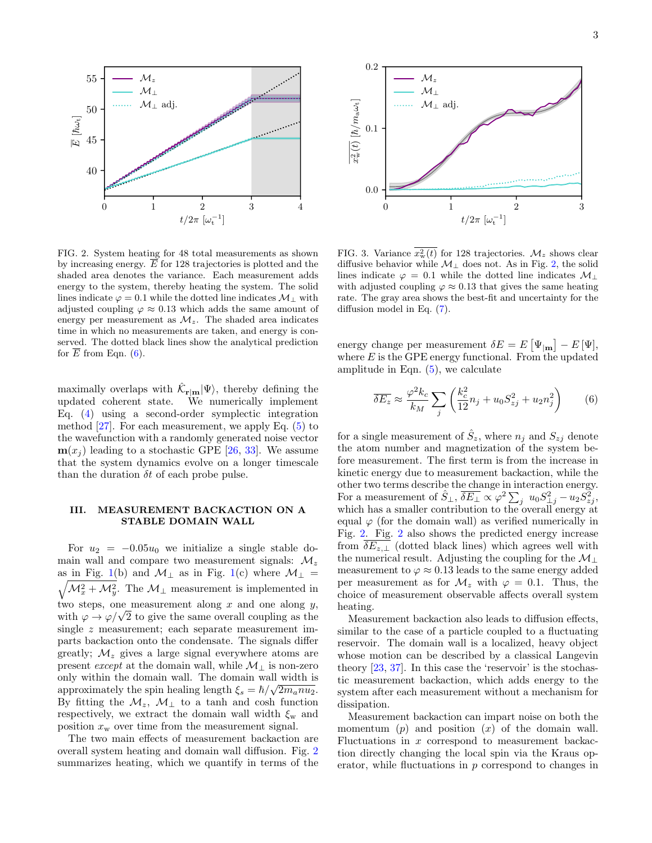

<span id="page-2-1"></span>FIG. 2. System heating for 48 total measurements as shown by increasing energy.  $\overline{E}$  for 128 trajectories is plotted and the shaded area denotes the variance. Each measurement adds energy to the system, thereby heating the system. The solid lines indicate  $\varphi = 0.1$  while the dotted line indicates  $\mathcal{M}_{\perp}$  with adjusted coupling  $\varphi \approx 0.13$  which adds the same amount of energy per measurement as  $\mathcal{M}_z$ . The shaded area indicates time in which no measurements are taken, and energy is conserved. The dotted black lines show the analytical prediction for  $E$  from Eqn.  $(6)$ .

maximally overlaps with  $\hat{\mathcal{K}}_{\mathbf{r}|\mathbf{m}}|\Psi\rangle$ , thereby defining the updated coherent state. We numerically implement Eq. [\(4\)](#page-1-0) using a second-order symplectic integration method  $[27]$ . For each measurement, we apply Eq.  $(5)$  to the wavefunction with a randomly generated noise vector  $m(x_i)$  leading to a stochastic GPE [\[26,](#page-4-16) [33\]](#page-4-23). We assume that the system dynamics evolve on a longer timescale than the duration  $\delta t$  of each probe pulse.

## III. MEASUREMENT BACKACTION ON A STABLE DOMAIN WALL

For  $u_2 = -0.05u_0$  we initialize a single stable domain wall and compare two measurement signals:  $\mathcal{M}_z$ as in Fig. [1\(](#page-1-2)b) and  $\mathcal{M}_{\perp}$  as in Fig. 1(c) where  $\mathcal{M}_{\perp}$  =  $\sqrt{\mathcal{M}_x^2 + \mathcal{M}_y^2}$ . The  $\mathcal{M}_\perp$  measurement is implemented in two steps, one measurement along  $x$  and one along  $y$ , with  $\varphi \to \varphi/\sqrt{2}$  to give the same overall coupling as the single z measurement; each separate measurement imparts backaction onto the condensate. The signals differ greatly;  $\mathcal{M}_z$  gives a large signal everywhere atoms are present *except* at the domain wall, while  $\mathcal{M}_\perp$  is non-zero only within the domain wall. The domain wall width is approximately the spin healing length  $\xi_s = \hbar / \sqrt{2m_a n u_2}$ . By fitting the  $\mathcal{M}_z$ ,  $\mathcal{M}_\perp$  to a tanh and cosh function respectively, we extract the domain wall width  $\xi_{w}$  and position  $x_w$  over time from the measurement signal.

The two main effects of measurement backaction are overall system heating and domain wall diffusion. Fig. [2](#page-2-1) summarizes heating, which we quantify in terms of the



<span id="page-2-2"></span>FIG. 3. Variance  $x_w^2(t)$  for 128 trajectories.  $\mathcal{M}_z$  shows clear diffusive behavior while  $M_\perp$  does not. As in Fig. [2,](#page-2-1) the solid lines indicate  $\varphi = 0.1$  while the dotted line indicates  $\mathcal{M}_\perp$ with adjusted coupling  $\varphi \approx 0.13$  that gives the same heating rate. The gray area shows the best-fit and uncertainty for the diffusion model in Eq. [\(7\)](#page-3-0).

energy change per measurement  $\delta E = E \left[ \Psi_{\vert \mathbf{m}} \right] - E \left[ \Psi \right],$ where  $E$  is the GPE energy functional. From the updated amplitude in Eqn.  $(5)$ , we calculate

<span id="page-2-0"></span>
$$
\overline{\delta E_z} \approx \frac{\varphi^2 k_c}{k_M} \sum_j \left( \frac{k_c^2}{12} n_j + u_0 S_{zj}^2 + u_2 n_j^2 \right) \tag{6}
$$

for a single measurement of  $\hat{S}_z$ , where  $n_j$  and  $S_{zj}$  denote the atom number and magnetization of the system before measurement. The first term is from the increase in kinetic energy due to measurement backaction, while the other two terms describe the change in interaction energy. For a measurement of  $\hat{S}_{\perp}$ ,  $\overline{\delta E_{\perp}} \propto \varphi^2 \sum_j u_0 S_{\perp j}^2 - u_2 S_{zj}^2$ , which has a smaller contribution to the overall energy at equal  $\varphi$  (for the domain wall) as verified numerically in Fig. [2.](#page-2-1) Fig. [2](#page-2-1) also shows the predicted energy increase from  $\delta E_{z,\perp}$  (dotted black lines) which agrees well with the numerical result. Adjusting the coupling for the  $\mathcal{M}_\perp$ measurement to  $\varphi \approx 0.13$  leads to the same energy added per measurement as for  $\mathcal{M}_z$  with  $\varphi = 0.1$ . Thus, the choice of measurement observable affects overall system heating.

Measurement backaction also leads to diffusion effects, similar to the case of a particle coupled to a fluctuating reservoir. The domain wall is a localized, heavy object whose motion can be described by a classical Langevin theory [\[23,](#page-4-13) [37\]](#page-4-25). In this case the 'reservoir' is the stochastic measurement backaction, which adds energy to the system after each measurement without a mechanism for dissipation.

Measurement backaction can impart noise on both the momentum  $(p)$  and position  $(x)$  of the domain wall. Fluctuations in x correspond to measurement backaction directly changing the local spin via the Kraus operator, while fluctuations in  $p$  correspond to changes in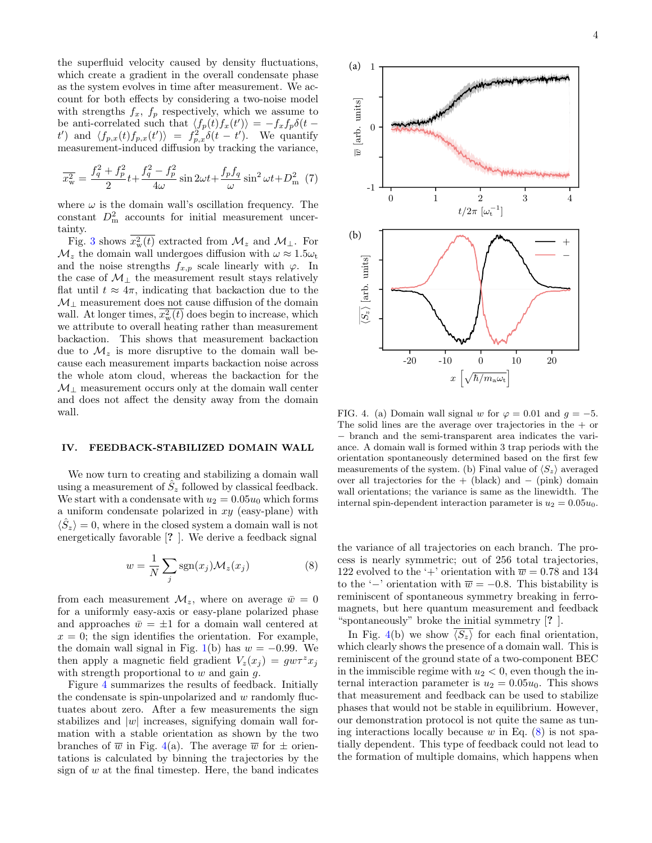the superfluid velocity caused by density fluctuations, which create a gradient in the overall condensate phase as the system evolves in time after measurement. We account for both effects by considering a two-noise model with strengths  $f_x$ ,  $f_p$  respectively, which we assume to be anti-correlated such that  $\langle f_p(t) f_x(t') \rangle = -f_x f_p \delta(t$ t') and  $\langle f_{p,x}(t) f_{p,x}(t') \rangle = f_{p,x}^2 \delta(t-t')$ . We quantify measurement-induced diffusion by tracking the variance,

<span id="page-3-0"></span>
$$
\overline{x_w^2} = \frac{f_q^2 + f_p^2}{2}t + \frac{f_q^2 - f_p^2}{4\omega}\sin 2\omega t + \frac{f_p f_q}{\omega}\sin^2 \omega t + D_m^2
$$
 (7)

where  $\omega$  is the domain wall's oscillation frequency. The constant  $D_{\text{m}}^2$  accounts for initial measurement uncertainty.

Fig. [3](#page-2-2) shows  $x_w^2(t)$  extracted from  $\mathcal{M}_z$  and  $\mathcal{M}_\perp$ . For  $\mathcal{M}_z$  the domain wall undergoes diffusion with  $\omega \approx 1.5\omega_t$ and the noise strengths  $f_{x,p}$  scale linearly with  $\varphi$ . In the case of  $\mathcal{M}_\perp$  the measurement result stays relatively flat until  $t \approx 4\pi$ , indicating that backaction due to the  $\mathcal{M}_{\perp}$  measurement does not cause diffusion of the domain wall. At longer times,  $x_w^2(t)$  does begin to increase, which we attribute to overall heating rather than measurement backaction. This shows that measurement backaction due to  $\mathcal{M}_{z}$  is more disruptive to the domain wall because each measurement imparts backaction noise across the whole atom cloud, whereas the backaction for the  $\mathcal{M}_\perp$  measurement occurs only at the domain wall center and does not affect the density away from the domain wall.

### IV. FEEDBACK-STABILIZED DOMAIN WALL

We now turn to creating and stabilizing a domain wall using a measurement of  $\hat{S}_z$  followed by classical feedback. We start with a condensate with  $u_2 = 0.05u_0$  which forms a uniform condensate polarized in  $xy$  (easy-plane) with  $\langle \hat{S}_z \rangle = 0$ , where in the closed system a domain wall is not energetically favorable [? ]. We derive a feedback signal

<span id="page-3-2"></span>
$$
w = \frac{1}{N} \sum_{j} sgn(x_j) \mathcal{M}_z(x_j)
$$
 (8)

from each measurement  $\mathcal{M}_z$ , where on average  $\bar{w} = 0$ for a uniformly easy-axis or easy-plane polarized phase and approaches  $\bar{w} = \pm 1$  for a domain wall centered at  $x = 0$ ; the sign identifies the orientation. For example, the domain wall signal in Fig. [1\(](#page-1-2)b) has  $w = -0.99$ . We then apply a magnetic field gradient  $V_z(x_i) = g w \tau^z x_i$ with strength proportional to  $w$  and gain  $q$ .

Figure [4](#page-3-1) summarizes the results of feedback. Initially the condensate is spin-unpolarized and  $w$  randomly fluctuates about zero. After a few measurements the sign stabilizes and  $|w|$  increases, signifying domain wall formation with a stable orientation as shown by the two branches of  $\overline{w}$  in Fig. [4\(](#page-3-1)a). The average  $\overline{w}$  for  $\pm$  orientations is calculated by binning the trajectories by the sign of  $w$  at the final timestep. Here, the band indicates



<span id="page-3-1"></span>FIG. 4. (a) Domain wall signal w for  $\varphi = 0.01$  and  $q = -5$ . The solid lines are the average over trajectories in the  $+$  or − branch and the semi-transparent area indicates the variance. A domain wall is formed within 3 trap periods with the orientation spontaneously determined based on the first few measurements of the system. (b) Final value of  $\langle S_z \rangle$  averaged over all trajectories for the  $+$  (black) and  $-$  (pink) domain wall orientations; the variance is same as the linewidth. The internal spin-dependent interaction parameter is  $u_2 = 0.05u_0$ .

the variance of all trajectories on each branch. The process is nearly symmetric; out of 256 total trajectories, 122 evolved to the '+' orientation with  $\overline{w} = 0.78$  and 134 to the '−' orientation with  $\overline{w} = -0.8$ . This bistability is reminiscent of spontaneous symmetry breaking in ferromagnets, but here quantum measurement and feedback "spontaneously" broke the initial symmetry [? ].

In Fig. [4\(](#page-3-1)b) we show  $\overline{\langle S_z \rangle}$  for each final orientation, which clearly shows the presence of a domain wall. This is reminiscent of the ground state of a two-component BEC in the immiscible regime with  $u_2 < 0$ , even though the internal interaction parameter is  $u_2 = 0.05u_0$ . This shows that measurement and feedback can be used to stabilize phases that would not be stable in equilibrium. However, our demonstration protocol is not quite the same as tuning interactions locally because w in Eq.  $(8)$  is not spatially dependent. This type of feedback could not lead to the formation of multiple domains, which happens when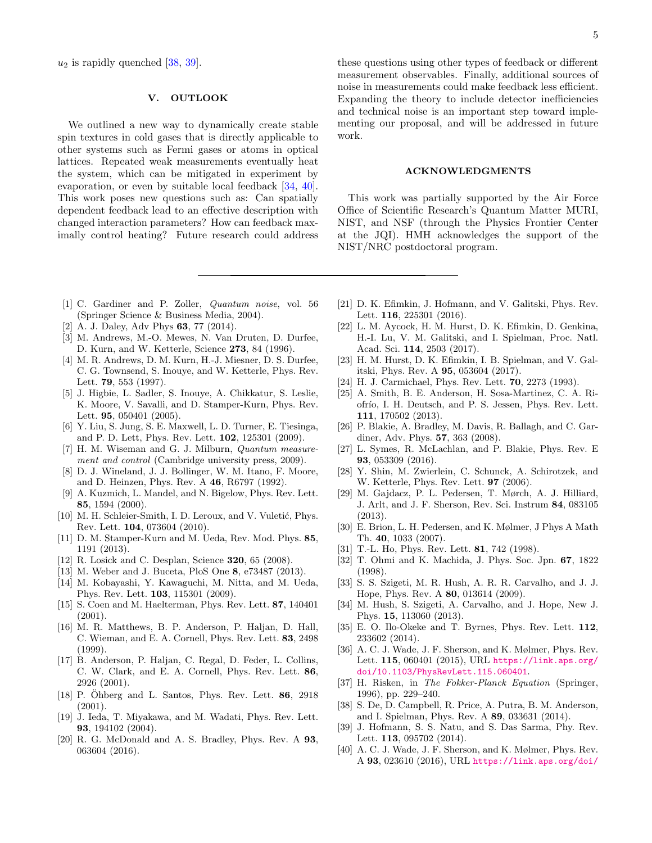$u_2$  is rapidly quenched [\[38,](#page-4-26) [39\]](#page-4-27).

### V. OUTLOOK

We outlined a new way to dynamically create stable spin textures in cold gases that is directly applicable to other systems such as Fermi gases or atoms in optical lattices. Repeated weak measurements eventually heat the system, which can be mitigated in experiment by evaporation, or even by suitable local feedback [\[34,](#page-4-28) [40\]](#page-4-29). This work poses new questions such as: Can spatially dependent feedback lead to an effective description with changed interaction parameters? How can feedback maximally control heating? Future research could address

these questions using other types of feedback or different measurement observables. Finally, additional sources of noise in measurements could make feedback less efficient. Expanding the theory to include detector inefficiencies and technical noise is an important step toward implementing our proposal, and will be addressed in future work.

#### ACKNOWLEDGMENTS

This work was partially supported by the Air Force Office of Scientific Research's Quantum Matter MURI, NIST, and NSF (through the Physics Frontier Center at the JQI). HMH acknowledges the support of the NIST/NRC postdoctoral program.

- <span id="page-4-0"></span>[1] C. Gardiner and P. Zoller, Quantum noise, vol. 56 (Springer Science & Business Media, 2004).
- <span id="page-4-1"></span>[2] A. J. Daley, Adv Phys **63**, 77 (2014).
- <span id="page-4-2"></span>[3] M. Andrews, M.-O. Mewes, N. Van Druten, D. Durfee, D. Kurn, and W. Ketterle, Science 273, 84 (1996).
- [4] M. R. Andrews, D. M. Kurn, H.-J. Miesner, D. S. Durfee, C. G. Townsend, S. Inouye, and W. Ketterle, Phys. Rev. Lett. 79, 553 (1997).
- [5] J. Higbie, L. Sadler, S. Inouye, A. Chikkatur, S. Leslie, K. Moore, V. Savalli, and D. Stamper-Kurn, Phys. Rev. Lett. 95, 050401 (2005).
- <span id="page-4-3"></span>[6] Y. Liu, S. Jung, S. E. Maxwell, L. D. Turner, E. Tiesinga, and P. D. Lett, Phys. Rev. Lett. 102, 125301 (2009).
- <span id="page-4-4"></span>[7] H. M. Wiseman and G. J. Milburn, Quantum measurement and control (Cambridge university press, 2009).
- <span id="page-4-5"></span>[8] D. J. Wineland, J. J. Bollinger, W. M. Itano, F. Moore, and D. Heinzen, Phys. Rev. A 46, R6797 (1992).
- [9] A. Kuzmich, L. Mandel, and N. Bigelow, Phys. Rev. Lett. 85, 1594 (2000).
- <span id="page-4-6"></span>[10] M. H. Schleier-Smith, I. D. Leroux, and V. Vuletić, Phys. Rev. Lett. 104, 073604 (2010).
- <span id="page-4-7"></span>[11] D. M. Stamper-Kurn and M. Ueda, Rev. Mod. Phys. 85, 1191 (2013).
- <span id="page-4-8"></span>[12] R. Losick and C. Desplan, Science **320**, 65 (2008).
- <span id="page-4-9"></span>[13] M. Weber and J. Buceta, PloS One 8, e73487 (2013).
- <span id="page-4-10"></span>[14] M. Kobayashi, Y. Kawaguchi, M. Nitta, and M. Ueda, Phys. Rev. Lett. 103, 115301 (2009).
- [15] S. Coen and M. Haelterman, Phys. Rev. Lett. 87, 140401 (2001).
- [16] M. R. Matthews, B. P. Anderson, P. Haljan, D. Hall, C. Wieman, and E. A. Cornell, Phys. Rev. Lett. 83, 2498 (1999).
- [17] B. Anderson, P. Haljan, C. Regal, D. Feder, L. Collins, C. W. Clark, and E. A. Cornell, Phys. Rev. Lett. 86, 2926 (2001).
- [18] P. Ohberg and L. Santos, Phys. Rev. Lett.  $86, 2918$ (2001).
- <span id="page-4-11"></span>[19] J. Ieda, T. Miyakawa, and M. Wadati, Phys. Rev. Lett. 93, 194102 (2004).
- <span id="page-4-12"></span>[20] R. G. McDonald and A. S. Bradley, Phys. Rev. A 93, 063604 (2016).
- [21] D. K. Efimkin, J. Hofmann, and V. Galitski, Phys. Rev. Lett. 116, 225301 (2016).
- [22] L. M. Aycock, H. M. Hurst, D. K. Efimkin, D. Genkina, H.-I. Lu, V. M. Galitski, and I. Spielman, Proc. Natl. Acad. Sci. 114, 2503 (2017).
- <span id="page-4-13"></span>[23] H. M. Hurst, D. K. Efimkin, I. B. Spielman, and V. Galitski, Phys. Rev. A 95, 053604 (2017).
- <span id="page-4-14"></span>[24] H. J. Carmichael, Phys. Rev. Lett. 70, 2273 (1993).
- <span id="page-4-15"></span>[25] A. Smith, B. E. Anderson, H. Sosa-Martinez, C. A. Riofrío, I. H. Deutsch, and P. S. Jessen, Phys. Rev. Lett. 111, 170502 (2013).
- <span id="page-4-16"></span>[26] P. Blakie, A. Bradley, M. Davis, R. Ballagh, and C. Gardiner, Adv. Phys. **57**, 363 (2008).
- <span id="page-4-17"></span>[27] L. Symes, R. McLachlan, and P. Blakie, Phys. Rev. E 93, 053309 (2016).
- <span id="page-4-18"></span>[28] Y. Shin, M. Zwierlein, C. Schunck, A. Schirotzek, and W. Ketterle, Phys. Rev. Lett. 97 (2006).
- <span id="page-4-19"></span>[29] M. Gajdacz, P. L. Pedersen, T. Mørch, A. J. Hilliard, J. Arlt, and J. F. Sherson, Rev. Sci. Instrum 84, 083105 (2013).
- <span id="page-4-20"></span>[30] E. Brion, L. H. Pedersen, and K. Mølmer, J Phys A Math Th. 40, 1033 (2007).
- <span id="page-4-21"></span>[31] T.-L. Ho, Phys. Rev. Lett. **81**, 742 (1998).
- <span id="page-4-22"></span>[32] T. Ohmi and K. Machida, J. Phys. Soc. Jpn. 67, 1822 (1998).
- <span id="page-4-23"></span>[33] S. S. Szigeti, M. R. Hush, A. R. R. Carvalho, and J. J. Hope, Phys. Rev. A 80, 013614 (2009).
- <span id="page-4-28"></span>[34] M. Hush, S. Szigeti, A. Carvalho, and J. Hope, New J. Phys. 15, 113060 (2013).
- [35] E. O. Ilo-Okeke and T. Byrnes, Phys. Rev. Lett. 112, 233602 (2014).
- <span id="page-4-24"></span>[36] A. C. J. Wade, J. F. Sherson, and K. Mølmer, Phys. Rev. Lett. 115, 060401 (2015), URL [https://link.aps.org/](https://link.aps.org/doi/10.1103/PhysRevLett.115.060401) [doi/10.1103/PhysRevLett.115.060401](https://link.aps.org/doi/10.1103/PhysRevLett.115.060401).
- <span id="page-4-25"></span>[37] H. Risken, in The Fokker-Planck Equation (Springer, 1996), pp. 229–240.
- <span id="page-4-26"></span>[38] S. De, D. Campbell, R. Price, A. Putra, B. M. Anderson, and I. Spielman, Phys. Rev. A 89, 033631 (2014).
- <span id="page-4-27"></span>[39] J. Hofmann, S. S. Natu, and S. Das Sarma, Phy. Rev. Lett. 113, 095702 (2014).
- <span id="page-4-29"></span>[40] A. C. J. Wade, J. F. Sherson, and K. Mølmer, Phys. Rev. A 93, 023610 (2016), URL [https://link.aps.org/doi/](https://link.aps.org/doi/10.1103/PhysRevA.93.023610)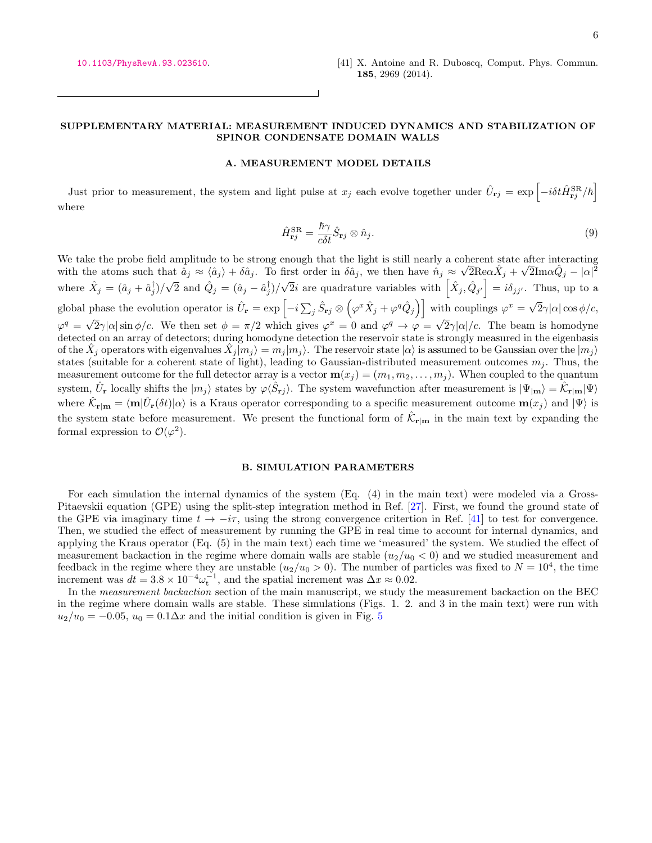### SUPPLEMENTARY MATERIAL: MEASUREMENT INDUCED DYNAMICS AND STABILIZATION OF SPINOR CONDENSATE DOMAIN WALLS

### <span id="page-5-0"></span>A. MEASUREMENT MODEL DETAILS

Just prior to measurement, the system and light pulse at  $x_j$  each evolve together under  $\hat{U}_{\mathbf{r}j} = \exp \left[-i\delta t \hat{H}_{\mathbf{r}j}^{\text{SR}}/\hbar\right]$ where

$$
\hat{H}_{\mathbf{r}j}^{\text{SR}} = \frac{\hbar \gamma}{c \delta t} \hat{S}_{\mathbf{r}j} \otimes \hat{n}_j. \tag{9}
$$

We take the probe field amplitude to be strong enough that the light is still nearly a coherent state after interacting with the atoms such that  $\hat{a}_j \approx \langle \hat{a}_j \rangle + \delta \hat{a}_j$ . To first order in  $\delta \hat{a}_j$ , we then have  $\hat{n}_j \approx \sqrt{2} \text{Re} \alpha \hat{X}_j + \sqrt{2} \text{Im} \alpha \hat{Q}_j - |\alpha|^2$ where  $\hat{X}_j = (\hat{a}_j + \hat{a}_j^{\dagger})/\sqrt{2}$  and  $\hat{Q}_j = (\hat{a}_j - \hat{a}_j^{\dagger})/\sqrt{2}i$  are quadrature variables with  $\left[\hat{X}_j, \hat{Q}_{j'}\right] = i\delta_{jj'}$ . Thus, up to a global phase the evolution operator is  $\hat{U}_{\bf r} = \exp\left[-i\sum_j \hat{S}_{\bf rj}\otimes$  $(\varphi^x \hat{X}_j + \varphi^q \hat{Q}_j)$  with couplings  $\varphi^x = \sqrt{2} \gamma |\alpha| \cos \phi/c$ ,  $\varphi^q = \sqrt{2}\gamma |\alpha| \sin \phi/c$ . We then set  $\phi = \pi/2$  which gives  $\varphi^x = 0$  and  $\varphi^q \to \varphi = \sqrt{2}\gamma |\alpha|/c$ . The beam is homodyne detected on an array of detectors; during homodyne detection the reservoir state is strongly measured in the eigenbasis of the  $\hat{X}_j$  operators with eigenvalues  $\hat{X}_j | m_j \rangle = m_j | m_j \rangle$ . The reservoir state  $|\alpha\rangle$  is assumed to be Gaussian over the  $|m_j\rangle$ states (suitable for a coherent state of light), leading to Gaussian-distributed measurement outcomes  $m_j$ . Thus, the measurement outcome for the full detector array is a vector  $\mathbf{m}(x_i) = (m_1, m_2, \ldots, m_i)$ . When coupled to the quantum system,  $\hat{U}_{\mathbf{r}}$  locally shifts the  $|m_j\rangle$  states by  $\varphi \langle \hat{S}_{\mathbf{r}j} \rangle$ . The system wavefunction after measurement is  $|\Psi_{|\mathbf{m}}\rangle = \hat{\mathcal{K}}_{\mathbf{r}|\mathbf{m}} |\Psi\rangle$ where  $\hat{\mathcal{K}}_{\mathbf{r}|\mathbf{m}} = \langle \mathbf{m} | \hat{U}_{\mathbf{r}}(\delta t) | \alpha \rangle$  is a Kraus operator corresponding to a specific measurement outcome  $\mathbf{m}(x_j)$  and  $|\Psi \rangle$  is the system state before measurement. We present the functional form of  $\hat{\mathcal{K}}_{\mathbf{r}|\mathbf{m}}$  in the main text by expanding the formal expression to  $\mathcal{O}(\varphi^2)$ .

### B. SIMULATION PARAMETERS

For each simulation the internal dynamics of the system (Eq. (4) in the main text) were modeled via a Gross-Pitaevskii equation (GPE) using the split-step integration method in Ref. [\[27\]](#page-4-17). First, we found the ground state of the GPE via imaginary time  $t \to -i\tau$ , using the strong convergence critertion in Ref. [\[41\]](#page-5-0) to test for convergence. Then, we studied the effect of measurement by running the GPE in real time to account for internal dynamics, and applying the Kraus operator (Eq. (5) in the main text) each time we 'measured' the system. We studied the effect of measurement backaction in the regime where domain walls are stable  $(u_2/u_0 < 0)$  and we studied measurement and feedback in the regime where they are unstable  $(u_2/u_0 > 0)$ . The number of particles was fixed to  $N = 10^4$ , the time increment was  $dt = 3.8 \times 10^{-4} \omega_t^{-1}$ , and the spatial increment was  $\Delta x \approx 0.02$ .

In the measurement backaction section of the main manuscript, we study the measurement backaction on the BEC in the regime where domain walls are stable. These simulations (Figs. 1. 2. and 3 in the main text) were run with  $u_2/u_0 = -0.05$  $u_2/u_0 = -0.05$ ,  $u_0 = 0.1 \Delta x$  and the initial condition is given in Fig. 5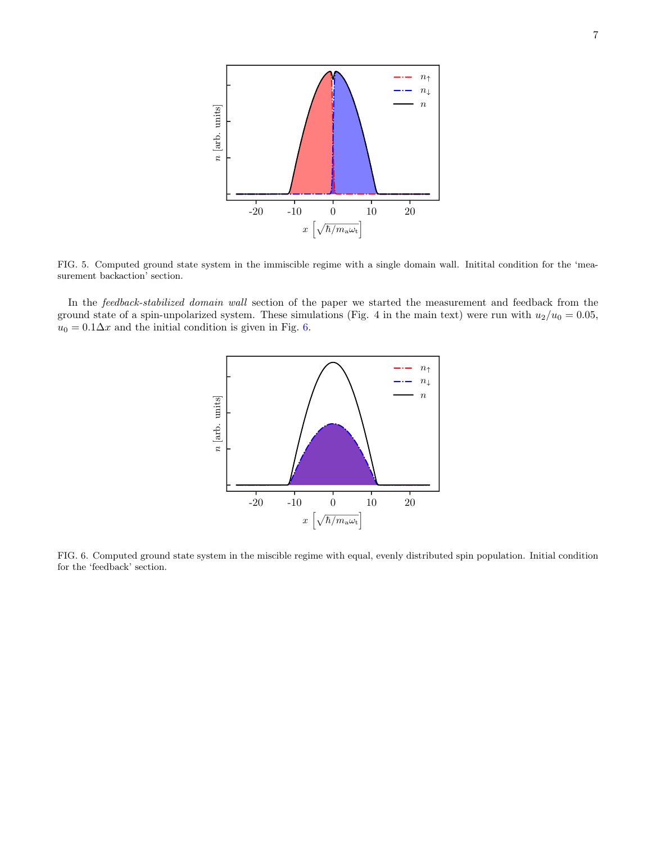

<span id="page-6-0"></span>FIG. 5. Computed ground state system in the immiscible regime with a single domain wall. Initital condition for the 'measurement backaction' section.

In the *feedback-stabilized domain wall* section of the paper we started the measurement and feedback from the ground state of a spin-unpolarized system. These simulations (Fig. 4 in the main text) were run with  $u_2/u_0 = 0.05$ ,  $u_0 = 0.1 \Delta x$  and the initial condition is given in Fig. [6.](#page-6-1)



<span id="page-6-1"></span>FIG. 6. Computed ground state system in the miscible regime with equal, evenly distributed spin population. Initial condition for the 'feedback' section.